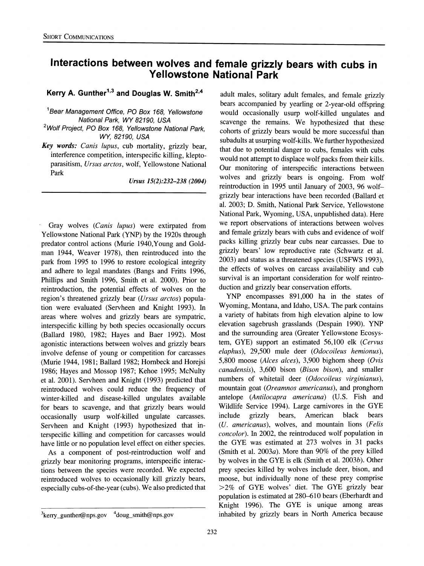# **Interactions between wolves and female grizzly bears with cubs in Yellowstone National Park**

#### Kerry A. Gunther<sup>1,3</sup> and Douglas W. Smith<sup>2,4</sup>

**Bear Management Office, PO Box 168, Yellowstone National Park, WY 82190, USA** 

**2Wolf Project, PO Box 168, Yellowstone National Park, WY, 82190, USA** 

**Key words: Canis lupus, cub mortality, grizzly bear, interference competition, interspecific killing, kleptoparasitism, Ursus arctos, wolf, Yellowstone National Park** 

**Ursus 15(2):232-238 (2004)** 

**Gray wolves (Canis lupus) were extirpated from Yellowstone National Park (YNP) by the 1920s through predator control actions (Murie 1940,Young and Goldman 1944, Weaver 1978), then reintroduced into the park from 1995 to 1996 to restore ecological integrity and adhere to legal mandates (Bangs and Fritts 1996, Phillips and Smith 1996, Smith et al. 2000). Prior to reintroduction, the potential effects of wolves on the region's threatened grizzly bear (Ursus arctos) population were evaluated (Servheen and Knight 1993). In areas where wolves and grizzly bears are sympatric, interspecific killing by both species occasionally occurs (Ballard 1980, 1982; Hayes and Baer 1992). Most agonistic interactions between wolves and grizzly bears involve defense of young or competition for carcasses (Murie 1944, 1981; Ballard 1982; Horbeck and Horejsi 1986; Hayes and Mossop 1987; Kehoe 1995; McNulty et al. 2001). Servheen and Knight (1993) predicted that reintroduced wolves could reduce the frequency of winter-killed and disease-killed ungulates available for bears to scavenge, and that grizzly bears would occasionally usurp wolf-killed ungulate carcasses. Servheen and Knight (1993) hypothesized that interspecific killing and competition for carcasses would have little or no population level effect on either species.** 

**As a component of post-reintroduction wolf and grizzly bear monitoring programs, interspecific interactions between the species were recorded. We expected reintroduced wolves to occasionally kill grizzly bears, especially cubs-of-the-year (cubs). We also predicted that** 

**adult males, solitary adult females, and female grizzly bears accompanied by yearling or 2-year-old offspring would occasionally usurp wolf-killed ungulates and scavenge the remains. We hypothesized that these cohorts of grizzly bears would be more successful than subadults at usurping wolf-kills. We further hypothesized that due to potential danger to cubs, females with cubs would not attempt to displace wolf packs from their kills. Our monitoring of interspecific interactions between wolves and grizzly bears is ongoing. From wolf reintroduction in 1995 until January of 2003, 96 wolfgrizzly bear interactions have been recorded (Ballard et al. 2003; D. Smith, National Park Service, Yellowstone National Park, Wyoming, USA, unpublished data). Here we report observations of interactions between wolves and female grizzly bears with cubs and evidence of wolf packs killing grizzly bear cubs near carcasses. Due to grizzly bears' low reproductive rate (Schwartz et al. 2003) and status as a threatened species (USFWS 1993), the effects of wolves on carcass availability and cub survival is an important consideration for wolf reintroduction and grizzly bear conservation efforts.** 

**YNP encompasses 891,000 ha in the states of Wyoming, Montana, and Idaho, USA. The park contains a variety of habitats from high elevation alpine to low elevation sagebrush grasslands (Despain 1990). YNP and the surrounding area (Greater Yellowstone Ecosystem, GYE) support an estimated 56,100 elk (Cervus elaphus), 29,500 mule deer (Odocoileus hemionus), 5,800 moose (Alces alces), 3,900 bighorn sheep (Ovis canadensis), 3,600 bison (Bison bison), and smaller numbers of whitetail deer (Odocoileus virginianus), mountain goat (Oreamnos americanus), and pronghom antelope (Antilocapra americana) (U.S. Fish and Wildlife Service 1994). Large carnivores in the GYE**  American **(U. americanus), wolves, and mountain lions (Felis concolor). In 2002, the reintroduced wolf population in the GYE was estimated at 273 wolves in 31 packs (Smith et al. 2003a). More than 90% of the prey killed by wolves in the GYE is elk (Smith et al. 2003b). Other prey species killed by wolves include deer, bison, and moose, but individually none of these prey comprise >2% of GYE wolves' diet. The GYE grizzly bear population is estimated at 280-610 bears (Eberhardt and Knight 1996). The GYE is unique among areas inhabited by grizzly bears in North America because** 

<sup>&</sup>lt;sup>3</sup> kerry gunther@nps.gov <sup>4</sup> doug\_smith@nps.gov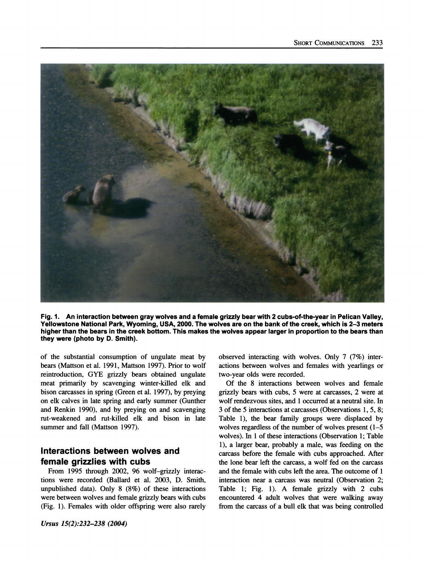

**Fig. 1. An interaction between gray wolves and a female grizzly bear with 2 cubs-of-the-year in Pelican Valley, Yellowstone National Park, Wyoming, USA, 2000. The wolves are on the bank of the creek, which is 2-3 meters higher than the bears in the creek bottom. This makes the wolves appear larger in proportion to the bears than they were (photo by D. Smith).** 

**of the substantial consumption of ungulate meat by bears (Mattson et al. 1991, Mattson 1997). Prior to wolf reintroduction, GYE grizzly bears obtained ungulate meat primarily by scavenging winter-killed elk and bison carcasses in spring (Green et al. 1997), by preying on elk calves in late spring and early summer (Gunther and Renkin 1990), and by preying on and scavenging rut-weakened and rut-killed elk and bison in late summer and fall (Mattson 1997).** 

## **Interactions between wolves and female grizzlies with cubs**

**From 1995 through 2002, 96 wolf-grizzly interactions were recorded (Ballard et al. 2003, D. Smith, unpublished data). Only 8 (8%) of these interactions were between wolves and female grizzly bears with cubs (Fig. 1). Females with older offspring were also rarely** 

**observed interacting with wolves. Only 7 (7%) interactions between wolves and females with yearlings or two-year olds were recorded.** 

**Of the 8 interactions between wolves and female grizzly bears with cubs, 5 were at carcasses, 2 were at wolf rendezvous sites, and 1 occurred at a neutral site. In 3 of the 5 interactions at carcasses (Observations 1, 5, 8; Table 1), the bear family groups were displaced by wolves regardless of the number of wolves present (1-5 wolves). In 1 of these interactions (Observation 1; Table 1), a larger bear, probably a male, was feeding on the carcass before the female with cubs approached. After the lone bear left the carcass, a wolf fed on the carcass and the female with cubs left the area. The outcome of 1 interaction near a carcass was neutral (Observation 2; Table 1; Fig. 1). A female grizzly with 2 cubs encountered 4 adult wolves that were walking away from the carcass of a bull elk that was being controlled**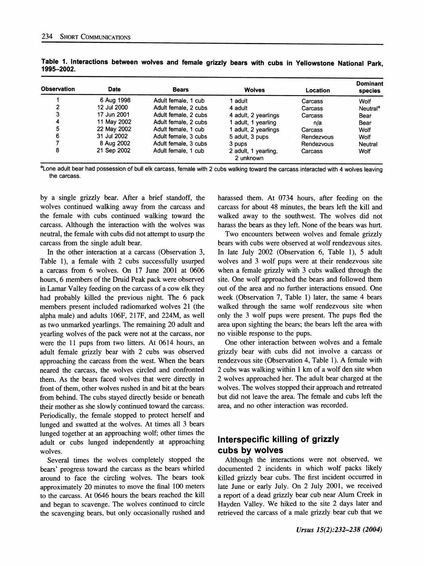| <b>Observation</b> | <b>Date</b> | <b>Bears</b>         | <b>Wolves</b>                     | Location   | Dominant<br>species  |
|--------------------|-------------|----------------------|-----------------------------------|------------|----------------------|
|                    | 6 Aug 1998  | Adult female, 1 cub  | 1 adult.                          | Carcass    | Wolf                 |
| າ                  | 12 Jul 2000 | Adult female, 2 cubs | 4 adult                           | Carcass    | Neutral <sup>a</sup> |
| 3                  | 17 Jun 2001 | Adult female, 2 cubs | 4 adult, 2 yearlings              | Carcass    | Bear                 |
| 4                  | 11 May 2002 | Adult female, 2 cubs | 1 adult, 1 yearling               | n/a        | Bear                 |
| 5                  | 22 May 2002 | Adult female, 1 cub  | 1 adult, 2 yearlings              | Carcass    | Wolf                 |
| 6                  | 31 Jul 2002 | Adult female, 3 cubs | 5 adult, 3 pups                   | Rendezvous | Wolf                 |
|                    | 8 Aug 2002  | Adult female, 3 cubs | 3 pups                            | Rendezvous | Neutral              |
| 8                  | 21 Sep 2002 | Adult female, 1 cub  | 2 adult, 1 yearling,<br>2 unknown | Carcass    | Wolf                 |

**Table 1. Interactions between wolves and female grizzly bears with cubs in Yellowstone National Park, 1995-2002.** 

**alone adult bear had possession of bull elk carcass, female with 2 cubs walking toward the carcass interacted with 4 wolves leaving the carcass.** 

**by a single grizzly bear. After a brief standoff, the wolves continued walking away from the carcass and the female with cubs continued walking toward the carcass. Although the interaction with the wolves was neutral, the female with cubs did not attempt to usurp the carcass from the single adult bear.** 

**In the other interaction at a carcass (Observation 3, Table 1), a female with 2 cubs successfully usurped a carcass from 6 wolves. On 17 June 2001 at 0606 hours, 6 members of the Druid Peak pack were observed in Lamar Valley feeding on the carcass of a cow elk they had probably killed the previous night. The 6 pack members present included radiomarked wolves 21 (the alpha male) and adults 106F, 217F, and 224M, as well as two unmarked yearlings. The remaining 20 adult and yearling wolves of the pack were not at the carcass, nor were the 11 pups from two litters. At 0614 hours, an adult female grizzly bear with 2 cubs was observed approaching the carcass from the west. When the bears neared the carcass, the wolves circled and confronted them. As the bears faced wolves that were directly in front of them, other wolves rushed in and bit at the bears from behind. The cubs stayed directly beside or beneath their mother as she slowly continued toward the carcass. Periodically, the female stopped to protect herself and lunged and swatted at the wolves. At times all 3 bears lunged together at an approaching wolf; other times the adult or cubs lunged independently at approaching wolves.** 

**Several times the wolves completely stopped the bears' progress toward the carcass as the bears whirled around to face the circling wolves. The bears took approximately 20 minutes to move the final 100 meters to the carcass. At 0646 hours the bears reached the kill and began to scavenge. The wolves continued to circle the scavenging bears, but only occasionally rushed and**  **harassed them. At 0734 hours, after feeding on the carcass for about 48 minutes, the bears left the kill and walked away to the southwest. The wolves did not harass the bears as they left. None of the bears was hurt.** 

**Two encounters between wolves and female grizzly bears with cubs were observed at wolf rendezvous sites. In late July 2002 (Observation 6, Table 1), 5 adult wolves and 3 wolf pups were at their rendezvous site when a female grizzly with 3 cubs walked through the site. One wolf approached the bears and followed them out of the area and no further interactions ensued. One week (Observation 7, Table 1) later, the same 4 bears walked through the same wolf rendezvous site when only the 3 wolf pups were present. The pups fled the area upon sighting the bears; the bears left the area with no visible response to the pups.** 

**One other interaction between wolves and a female grizzly bear with cubs did not involve a carcass or rendezvous site (Observation 4, Table 1). A female with 2 cubs was walking within 1 km of a wolf den site when 2 wolves approached her. The adult bear charged at the wolves. The wolves stopped their approach and retreated but did not leave the area. The female and cubs left the area, and no other interaction was recorded.** 

#### **Interspecific killing of grizzly cubs by wolves**

**Although the interactions were not observed, we documented 2 incidents in which wolf packs likely killed grizzly bear cubs. The first incident occurred in late June or early July. On 2 July 2001, we received a report of a dead grizzly bear cub near Alum Creek in Hayden Valley. We hiked to the site 2 days later and retrieved the carcass of a male grizzly bear cub that we**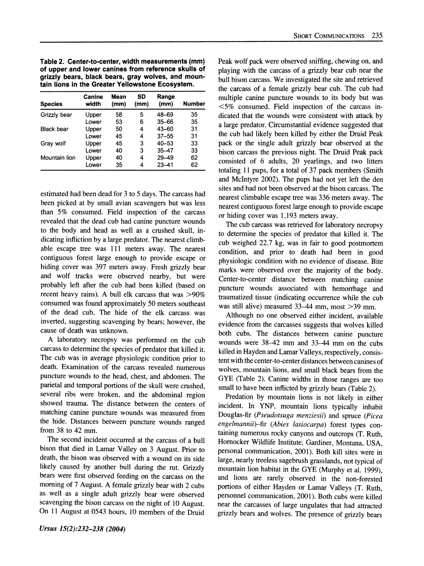**Table 2. Center-to-center, width measurements (mm) of upper and lower canines from reference skulls of grizzly bears, black bears, gray wolves, and mountain lions in the Greater Yellowstone Ecosystem.** 

| <b>Species</b>    | Canine<br>width | Mean<br>(mm) | SD<br>(mm) | Range<br>(mm) | <b>Number</b> |
|-------------------|-----------------|--------------|------------|---------------|---------------|
| Grizzly bear      | Upper           | 58           | 5          | 48-69         | 35            |
|                   | Lower           | 53           | 6          | $35 - 66$     | 35            |
| <b>Black bear</b> | Upper           | 50           | 4          | 43-60         | 31            |
|                   | Lower           | 45           | 4          | $37 - 55$     | 31            |
| Gray wolf         | Upper           | 45           | 3          | $40 - 53$     | 33            |
|                   | Lower           | 40           | 3          | $35 - 47$     | 33            |
| Mountain lion     | Upper           | 40           | 4          | 29-49         | 62            |
|                   | Lower           | 35           | 4          | $23 - 41$     | 62            |

**estimated had been dead for 3 to 5 days. The carcass had been picked at by small avian scavengers but was less than 5% consumed. Field inspection of the carcass revealed that the dead cub had canine puncture wounds to the body and head as well as a crushed skull, indicating infliction by a large predator. The nearest climbable escape tree was 111 meters away. The nearest contiguous forest large enough to provide escape or hiding cover was 397 meters away. Fresh grizzly bear and wolf tracks were observed nearby, but were probably left after the cub had been killed (based on recent heavy rains). A bull elk carcass that was >90% consumed was found approximately 50 meters southeast of the dead cub. The hide of the elk carcass was inverted, suggesting scavenging by bears; however, the cause of death was unknown.** 

**A laboratory necropsy was performed on the cub carcass to determine the species of predator that killed it. The cub was in average physiologic condition prior to death. Examination of the carcass revealed numerous puncture wounds to the head, chest, and abdomen. The parietal and temporal portions of the skull were crushed, several ribs were broken, and the abdominal region showed trauma. The distance between the centers of matching canine puncture wounds was measured from the hide. Distances between puncture wounds ranged from 38 to 42 mm.** 

**The second incident occurred at the carcass of a bull bison that died in Lamar Valley on 3 August. Prior to death, the bison was observed with a wound on its side likely caused by another bull during the rut. Grizzly bears were first observed feeding on the carcass on the morning of 7 August. A female grizzly bear with 2 cubs as well as a single adult grizzly bear were observed scavenging the bison carcass on the night of 10 August. On 11 August at 0543 hours, 10 members of the Druid**  **Peak wolf pack were observed sniffing, chewing on, and playing with the carcass of a grizzly bear cub near the bull bison carcass. We investigated the site and retrieved the carcass of a female grizzly bear cub. The cub had multiple canine puncture wounds to its body but was <5% consumed. Field inspection of the carcass indicated that the wounds were consistent with attack by a large predator. Circumstantial evidence suggested that the cub had likely been killed by either the Druid Peak pack or the single adult grizzly bear observed at the bison carcass the previous night. The Druid Peak pack consisted of 6 adults, 20 yearlings, and two litters totaling 11 pups, for a total of 37 pack members (Smith and McIntyre 2002). The pups had not yet left the den sites and had not been observed at the bison carcass. The nearest climbable escape tree was 336 meters away. The nearest contiguous forest large enough to provide escape or hiding cover was 1,193 meters away.** 

**The cub carcass was retrieved for laboratory necropsy to determine the species of predator that killed it. The cub weighed 22.7 kg, was in fair to good postmortem condition, and prior to death had been in good physiologic condition with no evidence of disease. Bite marks were observed over the majority of the body. Center-to-center distance between matching canine puncture wounds associated with hemorrhage and traumatized tissue (indicating occurrence while the cub was still alive) measured 33-44 mm, most >39 mm.** 

**Although no one observed either incident, available evidence from the carcasses suggests that wolves killed both cubs. The distances between canine puncture wounds were 38-42 mm and 33-44 mm on the cubs killed in Hayden and Lamar Valleys, respectively, consistent with the center-to-center distances between canines of wolves, mountain lions, and small black bears from the GYE (Table 2). Canine widths in those ranges are too small to have been inflicted by grizzly bears (Table 2).** 

**Predation by mountain lions is not likely in either incident. In YNP, mountain lions typically inhabit Douglas-fir (Pseudotsuga menziesii) and spruce (Picea engelmannii)-fir (Abies lasiocarpa) forest types containing numerous rocky canyons and outcrops (T. Ruth, Horocker Wildlife Institute, Gardiner, Montana, USA, personal communication, 2001). Both kill sites were in large, nearly treeless sagebrush grasslands, not typical of mountain lion habitat in the GYE (Murphy et al. 1999), and lions are rarely observed in the non-forested portions of either Hayden or Lamar Valleys (T. Ruth, personnel communication, 2001). Both cubs were killed near the carcasses of large ungulates that had attracted grizzly bears and wolves. The presence of grizzly bears**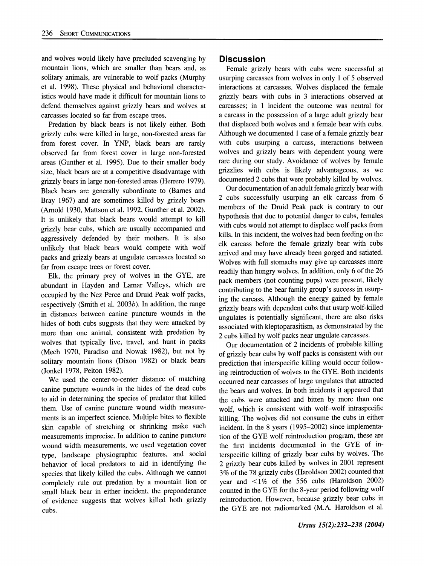**and wolves would likely have precluded scavenging by mountain lions, which are smaller than bears and, as solitary animals, are vulnerable to wolf packs (Murphy et al. 1998). These physical and behavioral characteristics would have made it difficult for mountain lions to defend themselves against grizzly bears and wolves at carcasses located so far from escape trees.** 

**Predation by black bears is not likely either. Both grizzly cubs were killed in large, non-forested areas far from forest cover. In YNP, black bears are rarely observed far from forest cover in large non-forested areas (Gunther et al. 1995). Due to their smaller body size, black bears are at a competitive disadvantage with grizzly bears in large non-forested areas (Herrero 1979). Black bears are generally subordinate to (Barnes and Bray 1967) and are sometimes killed by grizzly bears (Arold 1930, Mattson et al. 1992, Gunther et al. 2002). It is unlikely that black bears would attempt to kill grizzly bear cubs, which are usually accompanied and aggressively defended by their mothers. It is also unlikely that black bears would compete with wolf packs and grizzly bears at ungulate carcasses located so far from escape trees or forest cover.** 

**Elk, the primary prey of wolves in the GYE, are abundant in Hayden and Lamar Valleys, which are occupied by the Nez Perce and Druid Peak wolf packs, respectively (Smith et al. 2003b). In addition, the range in distances between canine puncture wounds in the hides of both cubs suggests that they were attacked by more than one animal, consistent with predation by wolves that typically live, travel, and hunt in packs (Mech 1970, Paradiso and Nowak 1982), but not by solitary mountain lions (Dixon 1982) or black bears (Jonkel 1978, Pelton 1982).** 

**We used the center-to-center distance of matching canine puncture wounds in the hides of the dead cubs to aid in determining the species of predator that killed them. Use of canine puncture wound width measurements is an imperfect science. Multiple bites to flexible skin capable of stretching or shrinking make such measurements imprecise. In addition to canine puncture wound width measurements, we used vegetation cover type, landscape physiographic features, and social behavior of local predators to aid in identifying the species that likely killed the cubs. Although we cannot completely rule out predation by a mountain lion or small black bear in either incident, the preponderance of evidence suggests that wolves killed both grizzly cubs.** 

#### **Discussion**

**Female grizzly bears with cubs were successful at usurping carcasses from wolves in only 1 of 5 observed interactions at carcasses. Wolves displaced the female grizzly bears with cubs in 3 interactions observed at carcasses; in 1 incident the outcome was neutral for a carcass in the possession of a large adult grizzly bear that displaced both wolves and a female bear with cubs. Although we documented 1 case of a female grizzly bear with cubs usurping a carcass, interactions between wolves and grizzly bears with dependent young were rare during our study. Avoidance of wolves by female grizzlies with cubs is likely advantageous, as we documented 2 cubs that were probably killed by wolves.** 

**Our documentation of an adult female grizzly bear with 2 cubs successfully usurping an elk carcass from 6 members of the Druid Peak pack is contrary to our hypothesis that due to potential danger to cubs, females with cubs would not attempt to displace wolf packs from kills. In this incident, the wolves had been feeding on the elk carcass before the female grizzly bear with cubs arrived and may have already been gorged and satiated. Wolves with full stomachs may give up carcasses more readily than hungry wolves. In addition, only 6 of the 26 pack members (not counting pups) were present, likely contributing to the bear family group's success in usurping the carcass. Although the energy gained by female grizzly bears with dependent cubs that usurp wolf-killed ungulates is potentially significant, there are also risks associated with kleptoparasitism, as demonstrated by the 2 cubs killed by wolf packs near ungulate carcasses.** 

**Our documentation of 2 incidents of probable killing of grizzly bear cubs by wolf packs is consistent with our prediction that interspecific killing would occur following reintroduction of wolves to the GYE. Both incidents occurred near carcasses of large ungulates that attracted the bears and wolves. In both incidents it appeared that the cubs were attacked and bitten by more than one wolf, which is consistent with wolf-wolf intraspecific killing. The wolves did not consume the cubs in either incident. In the 8 years (1995-2002) since implementation of the GYE wolf reintroduction program, these are the first incidents documented in the GYE of interspecific killing of grizzly bear cubs by wolves. The 2 grizzly bear cubs killed by wolves in 2001 represent 3% of the 78 grizzly cubs (Haroldson 2002) counted that year and <1% of the 556 cubs (Haroldson 2002) counted in the GYE for the 8-year period following wolf reintroduction. However, because grizzly bear cubs in the GYE are not radiomarked (M.A. Haroldson et al.**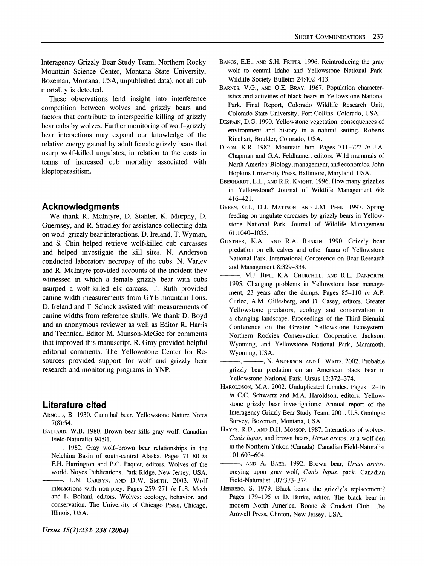**These observations lend insight into interference competition between wolves and grizzly bears and factors that contribute to interspecific killing of grizzly bear cubs by wolves. Further monitoring of wolf-grizzly bear interactions may expand our knowledge of the relative energy gained by adult female grizzly bears that usurp wolf-killed ungulates, in relation to the costs in terms of increased cub mortality associated with kleptoparasitism.** 

# **Acknowledgments**

**We thank R. McIntyre, D. Stahler, K. Murphy, D. Guernsey, and R. Stradley for assistance collecting data on wolf-grizzly bear interactions. D. Ireland, T. Wyman, and S. Chin helped retrieve wolf-killed cub carcasses and helped investigate the kill sites. N. Anderson conducted laboratory necropsy of the cubs. N. Varley and R. McIntyre provided accounts of the incident they witnessed in which a female grizzly bear with cubs usurped a wolf-killed elk carcass. T. Ruth provided canine width measurements from GYE mountain lions. D. Ireland and T. Schock assisted with measurements of canine widths from reference skulls. We thank D. Boyd and an anonymous reviewer as well as Editor R. Harris and Technical Editor M. Munson-McGee for comments that improved this manuscript. R. Gray provided helpful editorial comments. The Yellowstone Center for Resources provided support for wolf and grizzly bear research and monitoring programs in YNP.** 

## **Literature cited**

- **ARNOLD, B. 1930. Cannibal bear. Yellowstone Nature Notes 7(8):54.**
- **BALLARD, W.B. 1980. Brown bear kills gray wolf. Canadian Field-Naturalist 94:91.** 
	- **. 1982. Gray wolf-brown bear relationships in the Nelchina Basin of south-central Alaska. Pages 71-80 in F.H. Harrington and P.C. Paquet, editors. Wolves of the world. Noyes Publications, Park Ridge, New Jersey, USA.**
- **, L.N. CARBYN, AND D.W. SMITH. 2003. Wolf interactions with non-prey. Pages 259-271 in L.S. Mech and L. Boitani, editors. Wolves: ecology, behavior, and conservation. The University of Chicago Press, Chicago, Illinois, USA.**
- **BANGS, E.E., AND S.H. FRITTS. 1996. Reintroducing the gray wolf to central Idaho and Yellowstone National Park. Wildlife Society Bulletin 24:402-413.**
- **BARNES, V.G., AND O.E. BRAY. 1967. Population characteristics and activities of black bears in Yellowstone National Park. Final Report, Colorado Wildlife Research Unit, Colorado State University, Fort Collins, Colorado, USA.**
- **DESPAIN, D.G. 1990. Yellowstone vegetation: consequences of environment and history in a natural setting. Roberts Rinehart, Boulder, Colorado, USA.**
- **DIXON, K.R. 1982. Mountain lion. Pages 711-727 in J.A. Chapman and G.A. Feldhamer, editors. Wild mammals of North America: Biology, management, and economics. John Hopkins University Press, Baltimore, Maryland, USA.**
- **EBERHARDT, L.L., AND R.R. KNIGHT. 1996. How many grizzlies in Yellowstone? Journal of Wildlife Management 60: 416-421.**
- **GREEN, G.I., D.J. MATTSON, AND J.M. PEEK. 1997. Spring feeding on ungulate carcasses by grizzly bears in Yellowstone National Park. Journal of Wildlife Management 61:1040-1055.**
- **GUNTHER, K.A., AND R.A. RENKIN. 1990. Grizzly bear predation on elk calves and other fauna of Yellowstone National Park. International Conference on Bear Research and Management 8:329-334.**
- **, M.J. BIEL, K.A. CHURCHILL, AND R.L. DANFORTH. 1995. Changing problems in Yellowstone bear management, 23 years after the dumps. Pages 85-110 in A.P. Curlee, A.M. Gillesberg, and D. Casey, editors. Greater Yellowstone predators, ecology and conservation in a changing landscape. Proceedings of the Third Biennial Conference on the Greater Yellowstone Ecosystem. Northern Rockies Conservation Cooperative, Jackson, Wyoming, and Yellowstone National Park, Mammoth, Wyoming, USA.**
- **, N. ANDERSON, AND L. WAITS. 2002. Probable grizzly bear predation on an American black bear in Yellowstone National Park. Ursus 13:372-374.**
- **HAROLDSON, M.A. 2002. Unduplicated females. Pages 12-16 in C.C. Schwartz and M.A. Haroldson, editors. Yellowstone grizzly bear investigations: Annual report of the Interagency Grizzly Bear Study Team, 2001. U.S. Geologic Survey, Bozeman, Montana, USA.**
- **HAYES, R.D., AND D.H. MOSSOP. 1987. Interactions of wolves, Canis lupus, and brown bears, Ursus arctos, at a wolf den in the Northern Yukon (Canada). Canadian Field-Naturalist 101:603-604.**
- **, AND A. BAER. 1992. Brown bear, Ursus arctos, preying upon gray wolf, Canis lupus, pack. Canadian Field-Naturalist 107:373-374.**
- **HERRERO, S. 1979. Black bears: the grizzly's replacement? Pages 179-195 in D. Burke, editor. The black bear in**  modern North America. Boone & Crockett Club. The **Amwell Press, Clinton, New Jersey, USA.**